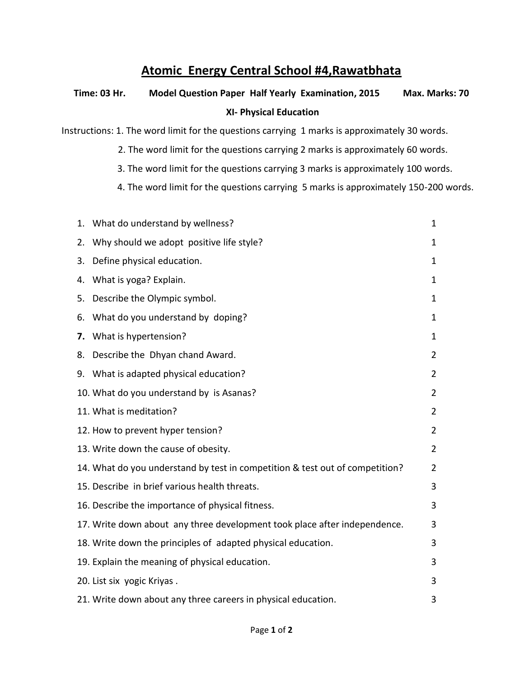## **Atomic Energy Central School #4,Rawatbhata**

## **Time: 03 Hr. Model Question Paper Half Yearly Examination, 2015 Max. Marks: 70 XI- Physical Education**

Instructions: 1. The word limit for the questions carrying 1 marks is approximately 30 words.

- 2. The word limit for the questions carrying 2 marks is approximately 60 words.
- 3. The word limit for the questions carrying 3 marks is approximately 100 words.
- 4. The word limit for the questions carrying 5 marks is approximately 150-200 words.

|    | 1. What do understand by wellness?                                           | 1              |
|----|------------------------------------------------------------------------------|----------------|
| 2. | Why should we adopt positive life style?                                     | 1              |
| 3. | Define physical education.                                                   | 1              |
| 4. | What is yoga? Explain.                                                       | $\mathbf 1$    |
| 5. | Describe the Olympic symbol.                                                 | $\mathbf 1$    |
| 6. | What do you understand by doping?                                            | 1              |
| 7. | What is hypertension?                                                        | 1              |
| 8. | Describe the Dhyan chand Award.                                              | $\overline{2}$ |
|    | 9. What is adapted physical education?                                       | $\overline{2}$ |
|    | 10. What do you understand by is Asanas?                                     | $\overline{2}$ |
|    | 11. What is meditation?                                                      | $\overline{2}$ |
|    | 12. How to prevent hyper tension?                                            | $\overline{2}$ |
|    | 13. Write down the cause of obesity.                                         | $\overline{2}$ |
|    | 14. What do you understand by test in competition & test out of competition? | $\overline{2}$ |
|    | 15. Describe in brief various health threats.                                | 3              |
|    | 16. Describe the importance of physical fitness.                             | 3              |
|    | 17. Write down about any three development took place after independence.    | 3              |
|    | 18. Write down the principles of adapted physical education.                 | 3              |
|    | 19. Explain the meaning of physical education.                               | 3              |
|    | 20. List six yogic Kriyas.                                                   | 3              |
|    | 21. Write down about any three careers in physical education.                | 3              |